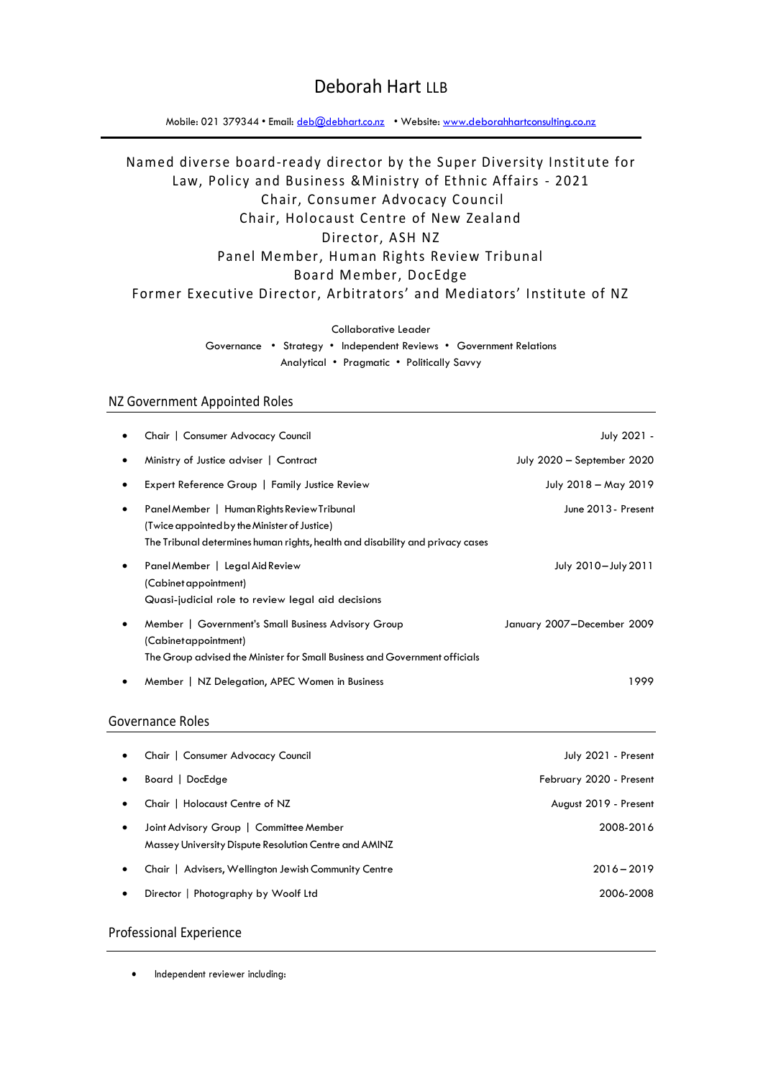# Deborah Hart LLB

Mobile: 021 379344 • Email: [deb@debhart.co.nz](mailto:deb@debhart.co.nz) • Website: [www.deborahhartconsulting.co.nz](http://www.deborahhartconsulting.co.nz/)

## Named diverse board-ready director by the Super Diversity Institute for Law, Policy and Business &Ministry of Ethnic Affairs - 2021 Chair, Consumer Advocacy Council Chair, Holocaust Centre of New Zealand Director, ASH NZ Panel Member, Human Rights Review Tribunal Board Member, DocEdge Former Executive Director, Arbitrators' and Mediators' Institute of NZ

Collaborative Leader

Governance • Strategy • Independent Reviews • Government Relations Analytical • Pragmatic • Politically Savvy

### NZ Government Appointed Roles

| ٠         | Chair   Consumer Advocacy Council                                                                                                                                            | July 2021 -                |
|-----------|------------------------------------------------------------------------------------------------------------------------------------------------------------------------------|----------------------------|
| ٠         | Ministry of Justice adviser   Contract                                                                                                                                       | July 2020 – September 2020 |
| $\bullet$ | Expert Reference Group   Family Justice Review                                                                                                                               | July 2018 - May 2019       |
| $\bullet$ | Panel Member   Human Rights Review Tribunal<br>(Twice appointed by the Minister of Justice)<br>The Tribunal determines human rights, health and disability and privacy cases | June 2013 - Present        |
| $\bullet$ | Panel Member   Legal Aid Review<br>(Cabinet appointment)<br>Quasi-judicial role to review legal aid decisions                                                                | July 2010-July 2011        |
| $\bullet$ | Member   Government's Small Business Advisory Group<br>(Cabinetappointment)<br>The Group advised the Minister for Small Business and Government officials                    | January 2007-December 2009 |
| ٠         | Member   NZ Delegation, APEC Women in Business                                                                                                                               | 1999                       |

#### Governance Roles

| $\bullet$ | Chair   Consumer Advocacy Council                                                                | July 2021 - Present     |
|-----------|--------------------------------------------------------------------------------------------------|-------------------------|
| $\bullet$ | Board   DocEdge                                                                                  | February 2020 - Present |
|           | Chair   Holocaust Centre of NZ                                                                   | August 2019 - Present   |
| $\bullet$ | Joint Advisory Group   Committee Member<br>Massey University Dispute Resolution Centre and AMINZ | 2008-2016               |
|           | Chair   Advisers, Wellington Jewish Community Centre                                             | $2016 - 2019$           |
| $\bullet$ | Director   Photography by Woolf Ltd                                                              | 2006-2008               |

## Professional Experience

• Independent reviewer including: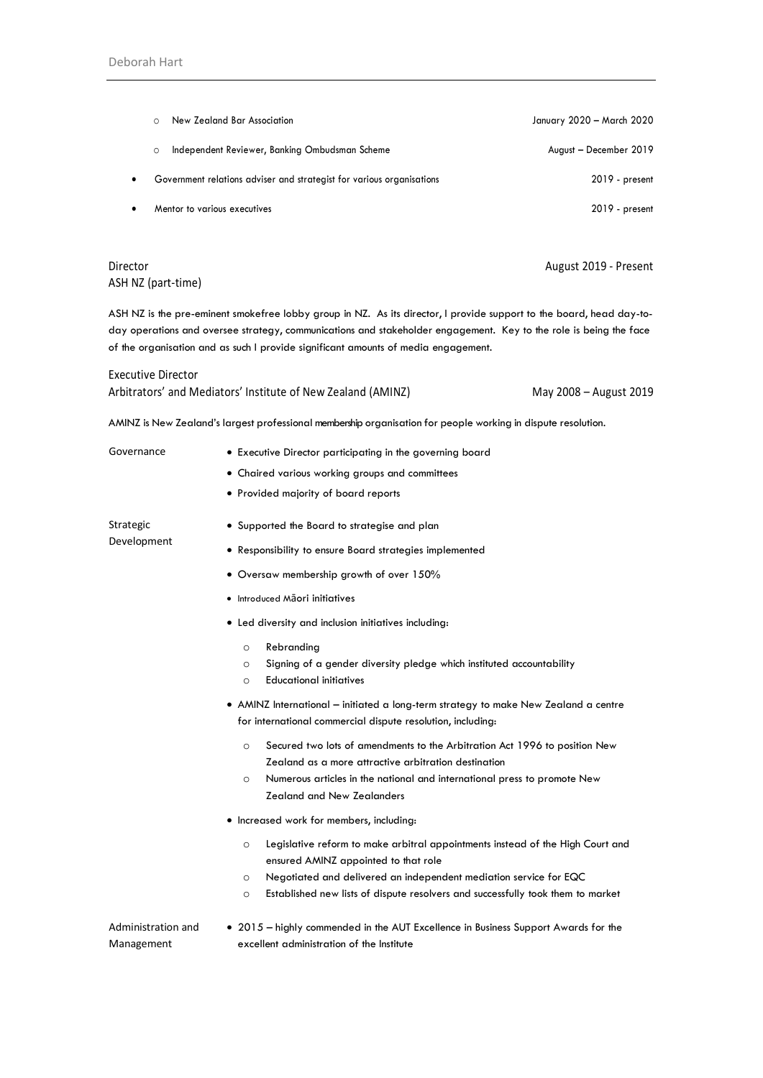|           | $\Omega$ | New Zealand Bar Association                                           | January 2020 - March 2020 |
|-----------|----------|-----------------------------------------------------------------------|---------------------------|
|           | $\circ$  | Independent Reviewer, Banking Ombudsman Scheme                        | August - December 2019    |
| $\bullet$ |          | Government relations adviser and strategist for various organisations | 2019 - present            |
| ٠         |          | Mentor to various executives                                          | 2019 - present            |
|           |          |                                                                       |                           |

Director August 2019 - Present ASH NZ (part-time)

ASH NZ is the pre-eminent smokefree lobby group in NZ. As its director, I provide support to the board, head day-today operations and oversee strategy, communications and stakeholder engagement. Key to the role is being the face of the organisation and as such I provide significant amounts of media engagement.

Executive Director Arbitrators' and Mediators' Institute of New Zealand (AMINZ) May 2008 - August 2019

AMINZ is New Zealand's largest professional membership organisation for people working in dispute resolution.

| Governance                       | • Executive Director participating in the governing board                                                                                                                                                                                                                                                                                                                                                                                                                                                                                                                                |  |  |
|----------------------------------|------------------------------------------------------------------------------------------------------------------------------------------------------------------------------------------------------------------------------------------------------------------------------------------------------------------------------------------------------------------------------------------------------------------------------------------------------------------------------------------------------------------------------------------------------------------------------------------|--|--|
|                                  | • Chaired various working groups and committees                                                                                                                                                                                                                                                                                                                                                                                                                                                                                                                                          |  |  |
|                                  | • Provided majority of board reports                                                                                                                                                                                                                                                                                                                                                                                                                                                                                                                                                     |  |  |
| Strategic                        | • Supported the Board to strategise and plan                                                                                                                                                                                                                                                                                                                                                                                                                                                                                                                                             |  |  |
| Development                      | • Responsibility to ensure Board strategies implemented                                                                                                                                                                                                                                                                                                                                                                                                                                                                                                                                  |  |  |
|                                  | • Oversaw membership growth of over 150%                                                                                                                                                                                                                                                                                                                                                                                                                                                                                                                                                 |  |  |
|                                  | · Introduced Māori initiatives                                                                                                                                                                                                                                                                                                                                                                                                                                                                                                                                                           |  |  |
|                                  | • Led diversity and inclusion initiatives including:                                                                                                                                                                                                                                                                                                                                                                                                                                                                                                                                     |  |  |
|                                  | Rebranding<br>$\circ$<br>Signing of a gender diversity pledge which instituted accountability<br>$\circ$<br><b>Educational initiatives</b><br>$\circ$<br>• AMINZ International – initiated a long-term strategy to make New Zealand a centre<br>for international commercial dispute resolution, including:<br>Secured two lots of amendments to the Arbitration Act 1996 to position New<br>$\circ$<br>Zealand as a more attractive arbitration destination<br>Numerous articles in the national and international press to promote New<br>$\circ$<br><b>Zealand and New Zealanders</b> |  |  |
|                                  | • Increased work for members, including:                                                                                                                                                                                                                                                                                                                                                                                                                                                                                                                                                 |  |  |
|                                  | Legislative reform to make arbitral appointments instead of the High Court and<br>$\circ$<br>ensured AMINZ appointed to that role                                                                                                                                                                                                                                                                                                                                                                                                                                                        |  |  |
|                                  | Negotiated and delivered an independent mediation service for EQC<br>$\circ$                                                                                                                                                                                                                                                                                                                                                                                                                                                                                                             |  |  |
|                                  | Established new lists of dispute resolvers and successfully took them to market<br>$\circ$                                                                                                                                                                                                                                                                                                                                                                                                                                                                                               |  |  |
| Administration and<br>Management | • 2015 - highly commended in the AUT Excellence in Business Support Awards for the<br>excellent administration of the Institute                                                                                                                                                                                                                                                                                                                                                                                                                                                          |  |  |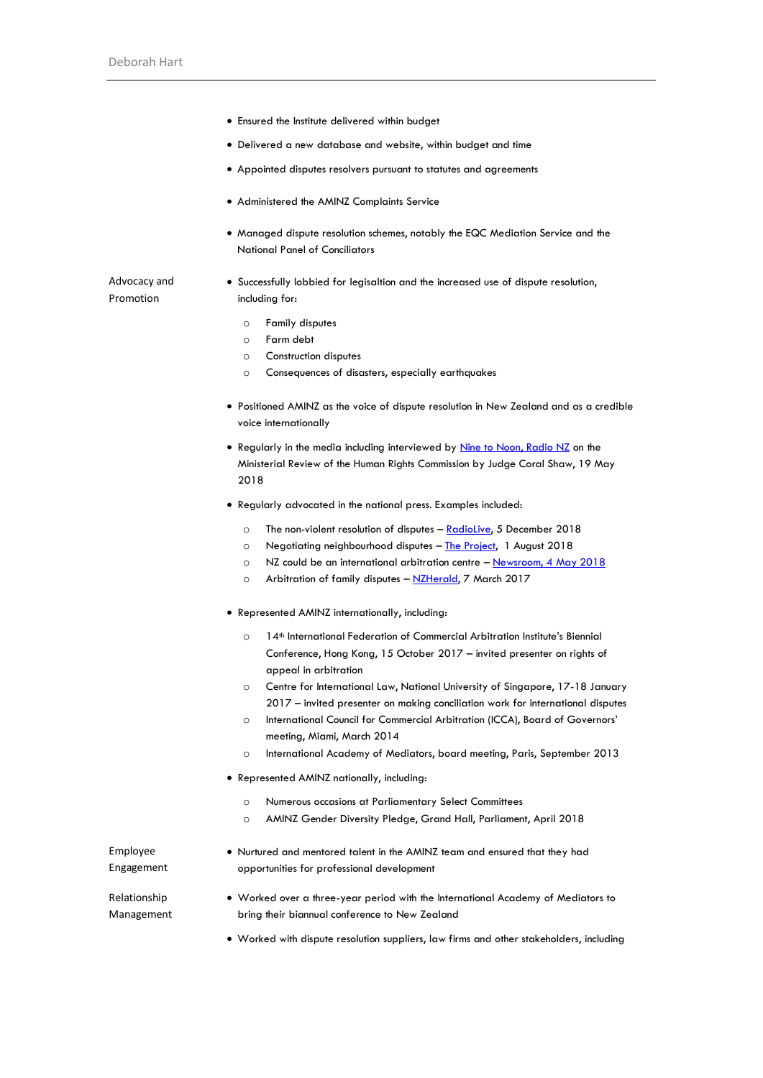Advocacy and Promotion

- Ensured the Institute delivered within budget
	- Delivered a new database and website, within budget and time
	- Appointed disputes resolvers pursuant to statutes and agreements
	- Administered the AMINZ Complaints Service
	- Managed dispute resolution schemes, notably the EQC Mediation Service and the National Panel of Conciliators
- Successfully lobbied for legisaltion and the increased use of dispute resolution, including for:
	- o Family disputes
	- o Farm debt
	- o Construction disputes
	- o Consequences of disasters, especially earthquakes
	- Positioned AMINZ as the voice of dispute resolution in New Zealand and as a credible voice internationally
	- Regularly in the media including interviewed b[y Nine to Noon, Radio NZ](https://www.radionz.co.nz/national/programmes/ninetonoon/audio/2018645114/the-toxic-culture-at-the-human-rights-commission) on the Ministerial Review of the Human Rights Commission by Judge Coral Shaw, 19 May 2018
	- Regularly advocated in the national press. Examples included:
		- o The non-violent resolution of disputes [RadioLive,](https://audio.mediaworks.nz/content/radiolive/MorningTalk/deborah.mp3) 5 December 2018
		- o Negotiating neighbourhood disputes [The Project,](https://www.aminz.org.nz/Story?Action=View&Story_id=1724) 1 August 2018
		- o NZ could be an international arbitration centre [Newsroom, 4 May 2018](https://www.newsroom.co.nz/2018/05/03/107130/nz-could-make-millions-solving-disputes)
		- o Arbitration of family disputes [NZHerald,](https://www.nzherald.co.nz/nz/news/article.cfm?c_id=1&objectid=11812985) 7 March 2017
	- Represented AMINZ internationally, including:
		- o 14th International Federation of Commercial Arbitration Institute's Biennial Conference, Hong Kong, 15 October 2017 – invited presenter on rights of appeal in arbitration
		- o Centre for International Law, National University of Singapore, 17-18 January 2017 – invited presenter on making conciliation work for international disputes
		- o International Council for Commercial Arbitration (ICCA), Board of Governors' meeting, Miami, March 2014
		- o International Academy of Mediators, board meeting, Paris, September 2013
	- Represented AMINZ nationally, including:
		- o Numerous occasions at Parliamentary Select Committees
		- o AMINZ Gender Diversity Pledge, Grand Hall, Parliament, April 2018

Employee Engagement

- Nurtured and mentored talent in the AMINZ team and ensured that they had opportunities for professional development
- Relationship Management
- Worked over a three-year period with the International Academy of Mediators to bring their biannual conference to New Zealand
- Worked with dispute resolution suppliers, law firms and other stakeholders, including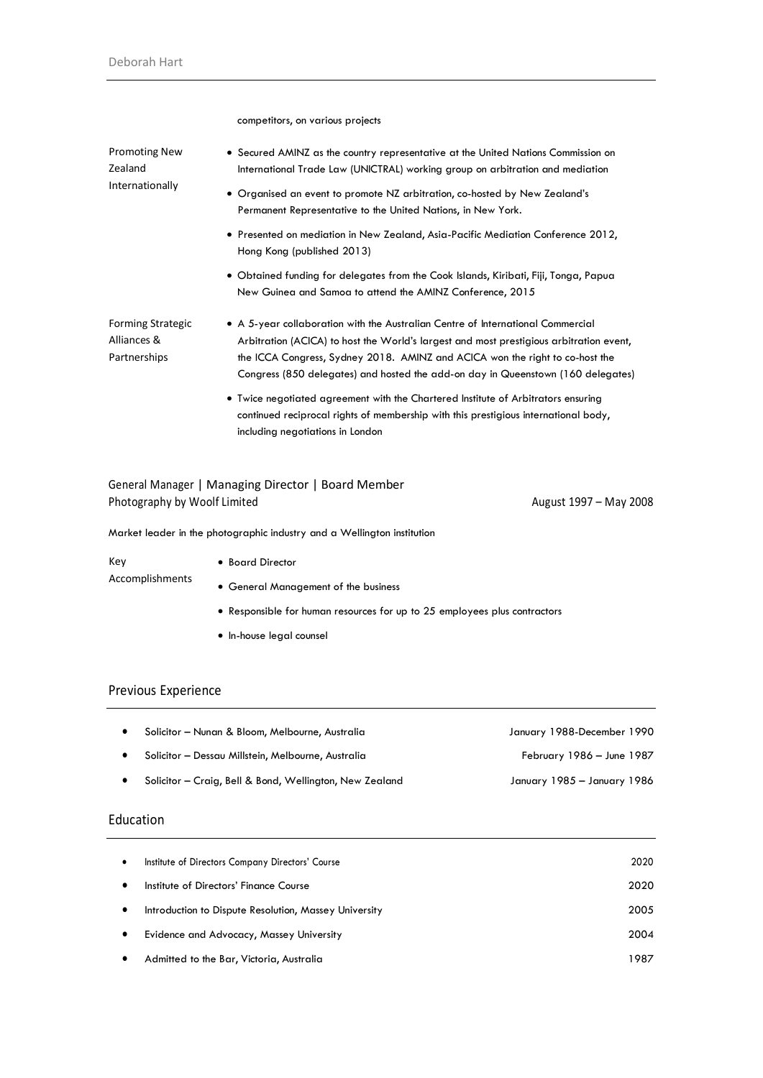|                                                         | competitors, on various projects                                                                                                                                                                                                                                                                                                                                                                                                                                                                                                                               |
|---------------------------------------------------------|----------------------------------------------------------------------------------------------------------------------------------------------------------------------------------------------------------------------------------------------------------------------------------------------------------------------------------------------------------------------------------------------------------------------------------------------------------------------------------------------------------------------------------------------------------------|
| <b>Promoting New</b><br>Zealand                         | • Secured AMINZ as the country representative at the United Nations Commission on<br>International Trade Law (UNICTRAL) working group on arbitration and mediation                                                                                                                                                                                                                                                                                                                                                                                             |
| Internationally                                         | • Organised an event to promote NZ arbitration, co-hosted by New Zealand's<br>Permanent Representative to the United Nations, in New York.                                                                                                                                                                                                                                                                                                                                                                                                                     |
|                                                         | • Presented on mediation in New Zealand, Asia-Pacific Mediation Conference 2012,<br>Hong Kong (published 2013)                                                                                                                                                                                                                                                                                                                                                                                                                                                 |
|                                                         | • Obtained funding for delegates from the Cook Islands, Kiribati, Fiji, Tonga, Papua<br>New Guinea and Samoa to attend the AMINZ Conference, 2015                                                                                                                                                                                                                                                                                                                                                                                                              |
| <b>Forming Strategic</b><br>Alliances &<br>Partnerships | • A 5-year collaboration with the Australian Centre of International Commercial<br>Arbitration (ACICA) to host the World's largest and most prestigious arbitration event,<br>the ICCA Congress, Sydney 2018. AMINZ and ACICA won the right to co-host the<br>Congress (850 delegates) and hosted the add-on day in Queenstown (160 delegates)<br>• Twice negotiated agreement with the Chartered Institute of Arbitrators ensuring<br>continued reciprocal rights of membership with this prestigious international body,<br>including negotiations in London |

General Manager | Managing Director | Board Member Photography by Woolf Limited **August 1997** – May 2008

Market leader in the photographic industry and a Wellington institution

| Kev             | • Board Director                                                          |
|-----------------|---------------------------------------------------------------------------|
| Accomplishments | • General Management of the business                                      |
|                 | • Responsible for human resources for up to 25 employees plus contractors |

• In-house legal counsel

## Previous Experience

| Solicitor – Nunan & Bloom, Melbourne, Australia         | January 1988-December 1990  |
|---------------------------------------------------------|-----------------------------|
| Solicitor – Dessau Millstein, Melbourne, Australia      | February 1986 - June 1987   |
| Solicitor - Craig, Bell & Bond, Wellington, New Zealand | January 1985 – January 1986 |

### Education

| ٠         | Institute of Directors Company Directors' Course      | 2020 |
|-----------|-------------------------------------------------------|------|
|           | Institute of Directors' Finance Course                | 2020 |
|           | Introduction to Dispute Resolution, Massey University | 2005 |
| $\bullet$ | Evidence and Advocacy, Massey University              | 2004 |
|           | Admitted to the Bar, Victoria, Australia              | 1987 |